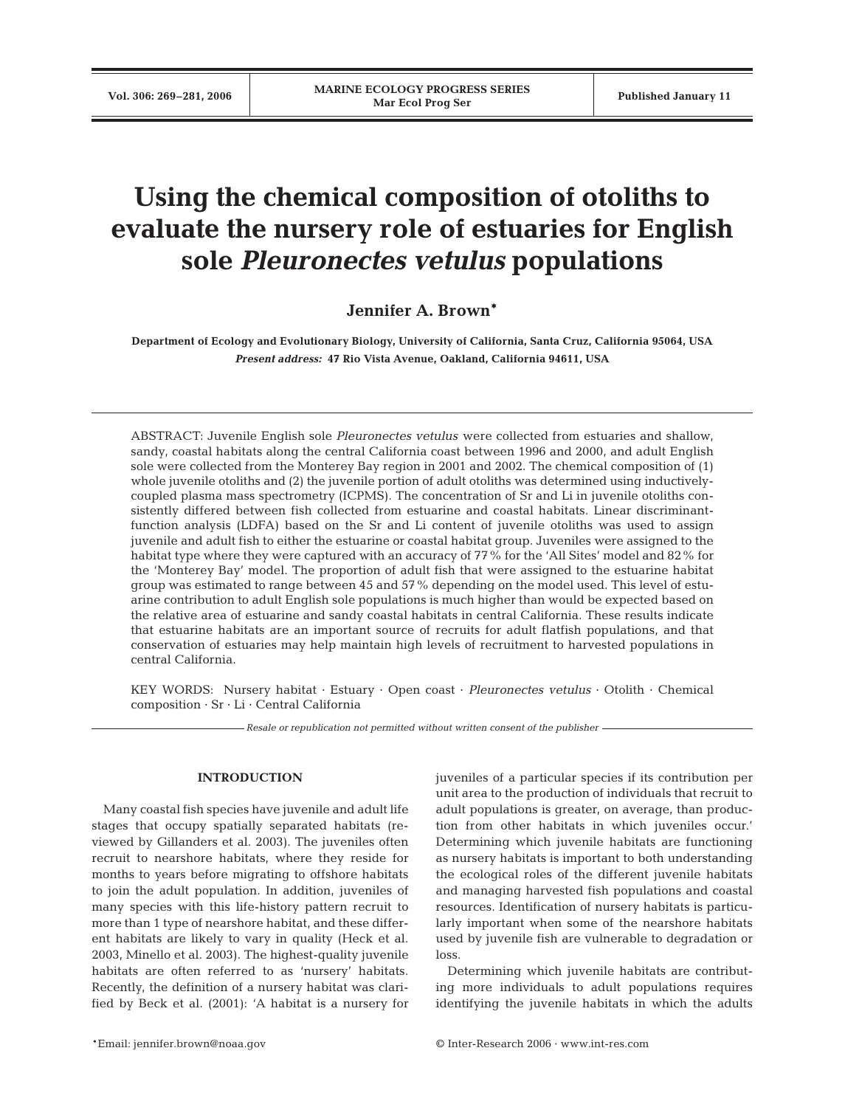# **Using the chemical composition of otoliths to evaluate the nursery role of estuaries for English sole** *Pleuronectes vetulus* **populations**

# **Jennifer A. Brown\***

**Department of Ecology and Evolutionary Biology, University of California, Santa Cruz, California 95064, USA** *Present address:* **47 Rio Vista Avenue, Oakland, California 94611, USA**

ABSTRACT: Juvenile English sole *Pleuronectes vetulus* were collected from estuaries and shallow, sandy, coastal habitats along the central California coast between 1996 and 2000, and adult English sole were collected from the Monterey Bay region in 2001 and 2002. The chemical composition of (1) whole juvenile otoliths and (2) the juvenile portion of adult otoliths was determined using inductivelycoupled plasma mass spectrometry (ICPMS). The concentration of Sr and Li in juvenile otoliths consistently differed between fish collected from estuarine and coastal habitats. Linear discriminantfunction analysis (LDFA) based on the Sr and Li content of juvenile otoliths was used to assign juvenile and adult fish to either the estuarine or coastal habitat group. Juveniles were assigned to the habitat type where they were captured with an accuracy of 77% for the 'All Sites' model and 82% for the 'Monterey Bay' model. The proportion of adult fish that were assigned to the estuarine habitat group was estimated to range between 45 and 57% depending on the model used. This level of estuarine contribution to adult English sole populations is much higher than would be expected based on the relative area of estuarine and sandy coastal habitats in central California. These results indicate that estuarine habitats are an important source of recruits for adult flatfish populations, and that conservation of estuaries may help maintain high levels of recruitment to harvested populations in central California.

KEY WORDS: Nursery habitat · Estuary · Open coast · *Pleuronectes vetulus* · Otolith · Chemical composition · Sr · Li · Central California

*Resale or republication not permitted without written consent of the publisher*

# **INTRODUCTION**

Many coastal fish species have juvenile and adult life stages that occupy spatially separated habitats (reviewed by Gillanders et al. 2003). The juveniles often recruit to nearshore habitats, where they reside for months to years before migrating to offshore habitats to join the adult population. In addition, juveniles of many species with this life-history pattern recruit to more than 1 type of nearshore habitat, and these different habitats are likely to vary in quality (Heck et al. 2003, Minello et al. 2003). The highest-quality juvenile habitats are often referred to as 'nursery' habitats. Recently, the definition of a nursery habitat was clarified by Beck et al. (2001): 'A habitat is a nursery for juveniles of a particular species if its contribution per unit area to the production of individuals that recruit to adult populations is greater, on average, than production from other habitats in which juveniles occur.' Determining which juvenile habitats are functioning as nursery habitats is important to both understanding the ecological roles of the different juvenile habitats and managing harvested fish populations and coastal resources. Identification of nursery habitats is particularly important when some of the nearshore habitats used by juvenile fish are vulnerable to degradation or loss.

Determining which juvenile habitats are contributing more individuals to adult populations requires identifying the juvenile habitats in which the adults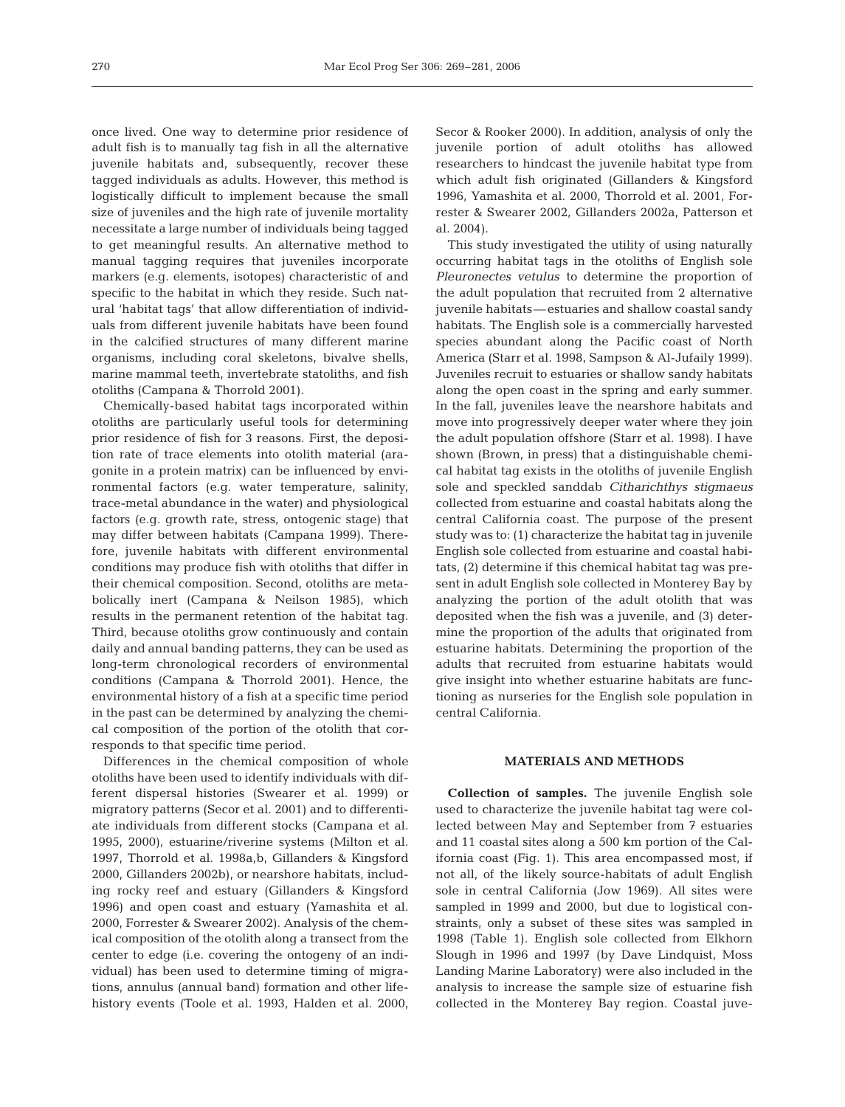once lived. One way to determine prior residence of adult fish is to manually tag fish in all the alternative juvenile habitats and, subsequently, recover these tagged individuals as adults. However, this method is logistically difficult to implement because the small size of juveniles and the high rate of juvenile mortality necessitate a large number of individuals being tagged to get meaningful results. An alternative method to manual tagging requires that juveniles incorporate markers (e.g. elements, isotopes) characteristic of and specific to the habitat in which they reside. Such natural 'habitat tags' that allow differentiation of individuals from different juvenile habitats have been found in the calcified structures of many different marine organisms, including coral skeletons, bivalve shells, marine mammal teeth, invertebrate statoliths, and fish otoliths (Campana & Thorrold 2001).

Chemically-based habitat tags incorporated within otoliths are particularly useful tools for determining prior residence of fish for 3 reasons. First, the deposition rate of trace elements into otolith material (aragonite in a protein matrix) can be influenced by environmental factors (e.g. water temperature, salinity, trace-metal abundance in the water) and physiological factors (e.g. growth rate, stress, ontogenic stage) that may differ between habitats (Campana 1999). Therefore, juvenile habitats with different environmental conditions may produce fish with otoliths that differ in their chemical composition. Second, otoliths are metabolically inert (Campana & Neilson 1985), which results in the permanent retention of the habitat tag. Third, because otoliths grow continuously and contain daily and annual banding patterns, they can be used as long-term chronological recorders of environmental conditions (Campana & Thorrold 2001). Hence, the environmental history of a fish at a specific time period in the past can be determined by analyzing the chemical composition of the portion of the otolith that corresponds to that specific time period.

Differences in the chemical composition of whole otoliths have been used to identify individuals with different dispersal histories (Swearer et al. 1999) or migratory patterns (Secor et al. 2001) and to differentiate individuals from different stocks (Campana et al. 1995, 2000), estuarine/riverine systems (Milton et al. 1997, Thorrold et al. 1998a,b, Gillanders & Kingsford 2000, Gillanders 2002b), or nearshore habitats, including rocky reef and estuary (Gillanders & Kingsford 1996) and open coast and estuary (Yamashita et al. 2000, Forrester & Swearer 2002). Analysis of the chemical composition of the otolith along a transect from the center to edge (i.e. covering the ontogeny of an individual) has been used to determine timing of migrations, annulus (annual band) formation and other lifehistory events (Toole et al. 1993, Halden et al. 2000,

Secor & Rooker 2000). In addition, analysis of only the juvenile portion of adult otoliths has allowed researchers to hindcast the juvenile habitat type from which adult fish originated (Gillanders & Kingsford 1996, Yamashita et al. 2000, Thorrold et al. 2001, Forrester & Swearer 2002, Gillanders 2002a, Patterson et al. 2004).

This study investigated the utility of using naturally occurring habitat tags in the otoliths of English sole *Pleuronectes vetulus* to determine the proportion of the adult population that recruited from 2 alternative juvenile habitats—estuaries and shallow coastal sandy habitats. The English sole is a commercially harvested species abundant along the Pacific coast of North America (Starr et al. 1998, Sampson & Al-Jufaily 1999). Juveniles recruit to estuaries or shallow sandy habitats along the open coast in the spring and early summer. In the fall, juveniles leave the nearshore habitats and move into progressively deeper water where they join the adult population offshore (Starr et al. 1998). I have shown (Brown, in press) that a distinguishable chemical habitat tag exists in the otoliths of juvenile English sole and speckled sanddab *Citharichthys stigmaeus* collected from estuarine and coastal habitats along the central California coast. The purpose of the present study was to: (1) characterize the habitat tag in juvenile English sole collected from estuarine and coastal habitats, (2) determine if this chemical habitat tag was present in adult English sole collected in Monterey Bay by analyzing the portion of the adult otolith that was deposited when the fish was a juvenile, and (3) determine the proportion of the adults that originated from estuarine habitats. Determining the proportion of the adults that recruited from estuarine habitats would give insight into whether estuarine habitats are functioning as nurseries for the English sole population in central California.

## **MATERIALS AND METHODS**

**Collection of samples.** The juvenile English sole used to characterize the juvenile habitat tag were collected between May and September from 7 estuaries and 11 coastal sites along a 500 km portion of the California coast (Fig. 1). This area encompassed most, if not all, of the likely source-habitats of adult English sole in central California (Jow 1969). All sites were sampled in 1999 and 2000, but due to logistical constraints, only a subset of these sites was sampled in 1998 (Table 1). English sole collected from Elkhorn Slough in 1996 and 1997 (by Dave Lindquist, Moss Landing Marine Laboratory) were also included in the analysis to increase the sample size of estuarine fish collected in the Monterey Bay region. Coastal juve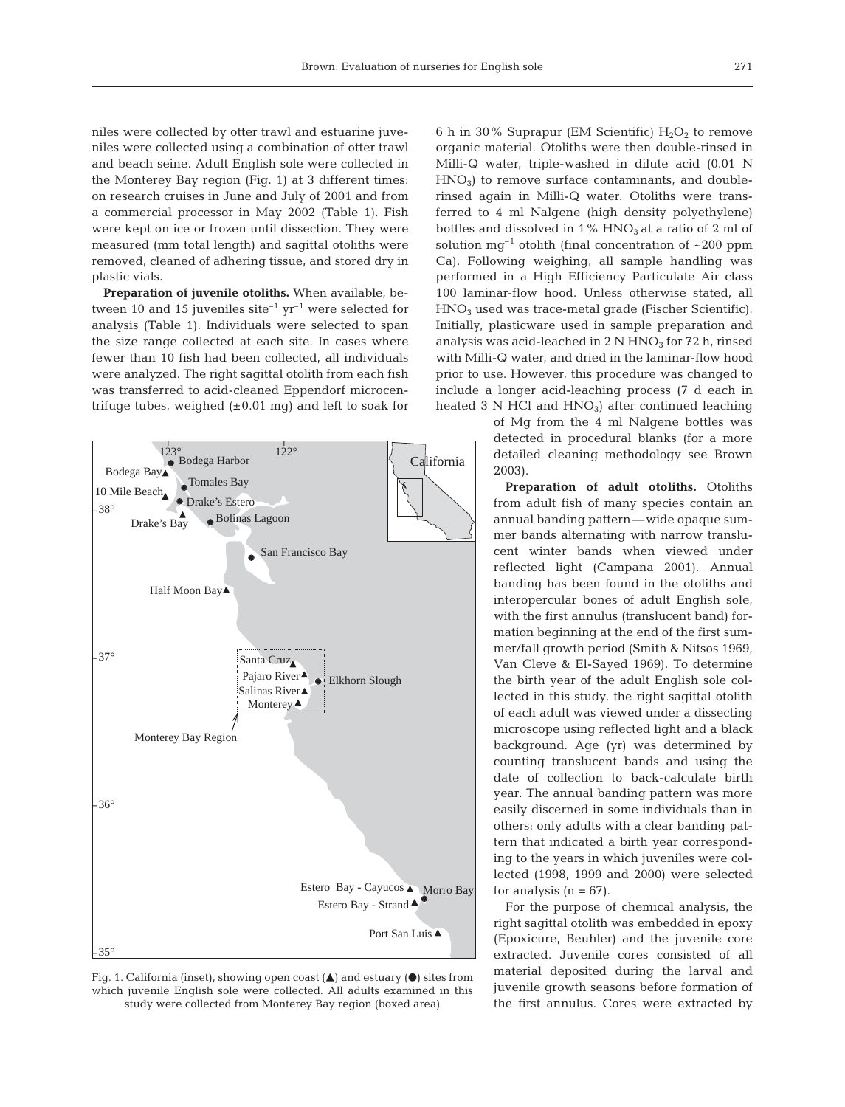niles were collected by otter trawl and estuarine juveniles were collected using a combination of otter trawl and beach seine. Adult English sole were collected in the Monterey Bay region (Fig. 1) at 3 different times: on research cruises in June and July of 2001 and from a commercial processor in May 2002 (Table 1). Fish were kept on ice or frozen until dissection. They were measured (mm total length) and sagittal otoliths were removed, cleaned of adhering tissue, and stored dry in plastic vials.

**Preparation of juvenile otoliths.** When available, between 10 and 15 juveniles site<sup>-1</sup> yr<sup>-1</sup> were selected for analysis (Table 1). Individuals were selected to span the size range collected at each site. In cases where fewer than 10 fish had been collected, all individuals were analyzed. The right sagittal otolith from each fish was transferred to acid-cleaned Eppendorf microcentrifuge tubes, weighed  $(\pm 0.01 \text{ mg})$  and left to soak for



Fig. 1. California (inset), showing open coast  $(\triangle)$  and estuary  $(\bullet)$  sites from which juvenile English sole were collected. All adults examined in this study were collected from Monterey Bay region (boxed area)

6 h in 30% Suprapur (EM Scientific)  $H_2O_2$  to remove organic material. Otoliths were then double-rinsed in Milli-Q water, triple-washed in dilute acid (0.01 N  $HNO<sub>3</sub>$ ) to remove surface contaminants, and doublerinsed again in Milli-Q water. Otoliths were transferred to 4 ml Nalgene (high density polyethylene) bottles and dissolved in  $1\%$  HNO<sub>3</sub> at a ratio of 2 ml of solution  $mq^{-1}$  otolith (final concentration of  $\sim 200$  ppm Ca). Following weighing, all sample handling was performed in a High Efficiency Particulate Air class 100 laminar-flow hood. Unless otherwise stated, all HNO3 used was trace-metal grade (Fischer Scientific). Initially, plasticware used in sample preparation and analysis was acid-leached in  $2 N HNO<sub>3</sub>$  for  $72 h$ , rinsed with Milli-Q water, and dried in the laminar-flow hood prior to use. However, this procedure was changed to include a longer acid-leaching process (7 d each in heated  $3$  N HCl and  $HNO<sub>3</sub>$ ) after continued leaching

> of Mg from the 4 ml Nalgene bottles was detected in procedural blanks (for a more detailed cleaning methodology see Brown 2003).

> **Preparation of adult otoliths.** Otoliths from adult fish of many species contain an annual banding pattern—wide opaque summer bands alternating with narrow translucent winter bands when viewed under reflected light (Campana 2001). Annual banding has been found in the otoliths and interopercular bones of adult English sole, with the first annulus (translucent band) formation beginning at the end of the first summer/fall growth period (Smith & Nitsos 1969, Van Cleve & El-Sayed 1969). To determine the birth year of the adult English sole collected in this study, the right sagittal otolith of each adult was viewed under a dissecting microscope using reflected light and a black background. Age (yr) was determined by counting translucent bands and using the date of collection to back-calculate birth year. The annual banding pattern was more easily discerned in some individuals than in others; only adults with a clear banding pattern that indicated a birth year corresponding to the years in which juveniles were collected (1998, 1999 and 2000) were selected for analysis  $(n = 67)$ .

> For the purpose of chemical analysis, the right sagittal otolith was embedded in epoxy (Epoxicure, Beuhler) and the juvenile core extracted. Juvenile cores consisted of all material deposited during the larval and juvenile growth seasons before formation of the first annulus. Cores were extracted by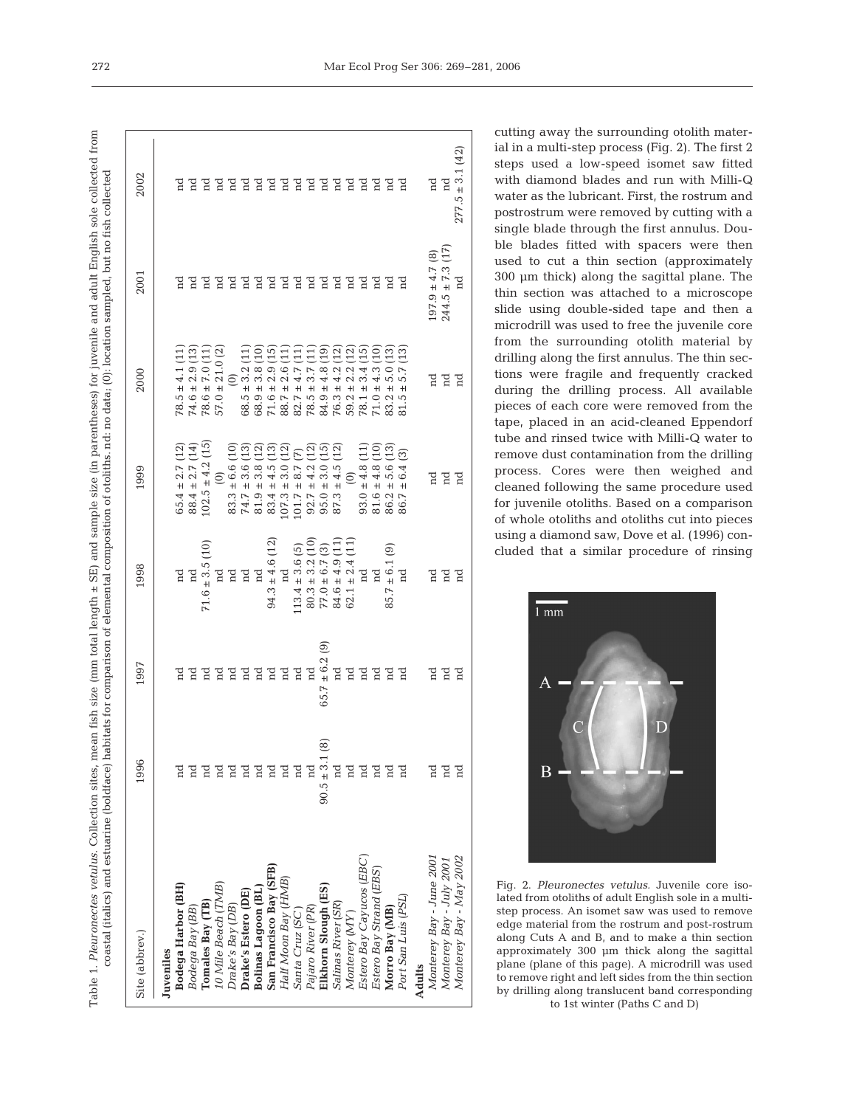Table 1. Pleuronectes vetulus. Collection sites, mean fish size (nm total length ± SE) and sample size (in parentheses) for juvenile and adult English sole collected from Table 1. *Pleuronectes vetulus*. Collection sites, mean fish size (mm total length ± SE) and sample size (in parentheses) for juvenile and adult English sole collected from<br>coastal (italics) and estuarine (boldface) habita coastal (italics) and estuarine (boldface) habitats for comparison of elemental composition of otoliths, nd: no data; (0): location sampled, but no fish collected

| Site (abbrev.)             | 1996              | 1997           | 1998                                                                                                                                                               | 1999                                                                                                                                                                                          | 2000                                                                                                                                                            | 2001                                                                                                     | 2002                 |
|----------------------------|-------------------|----------------|--------------------------------------------------------------------------------------------------------------------------------------------------------------------|-----------------------------------------------------------------------------------------------------------------------------------------------------------------------------------------------|-----------------------------------------------------------------------------------------------------------------------------------------------------------------|----------------------------------------------------------------------------------------------------------|----------------------|
| Juveniles                  |                   |                |                                                                                                                                                                    |                                                                                                                                                                                               |                                                                                                                                                                 |                                                                                                          |                      |
| <b>Bodega Harbor (BH)</b>  |                   |                |                                                                                                                                                                    |                                                                                                                                                                                               |                                                                                                                                                                 |                                                                                                          |                      |
| Bodega Bay (BB)            |                   | 겸겸겸겸겸겸겸        | $\begin{array}{c} \mathbf{nd} \\ \mathbf{nd} \\ \mathbf{71.6} \pm 3.5 \ (10) \\ \mathbf{nd} \end{array}$                                                           | $65.4 \pm 2.7$<br>$88.4 \pm 2.7$<br>$102.5 \pm 4.2$                                                                                                                                           | $\begin{array}{l} 4.1(11) \\ + 2.9(13) \\ + 7.0(11) \end{array}$<br>$78.5$<br>$74.6$<br>$78.5$<br>$57.5$                                                        | e d                                                                                                      |                      |
| Tomales Bay (TB)           |                   |                |                                                                                                                                                                    |                                                                                                                                                                                               |                                                                                                                                                                 |                                                                                                          |                      |
| 0 Mile Beach (TMB)         |                   |                |                                                                                                                                                                    |                                                                                                                                                                                               | $\pm$ 21.                                                                                                                                                       | <b>A B B B B B B B B B B B B B</b>                                                                       |                      |
| Drake's Bay (DB)           |                   |                |                                                                                                                                                                    |                                                                                                                                                                                               |                                                                                                                                                                 |                                                                                                          |                      |
| Drake's Estero (DE)        |                   |                | E E E                                                                                                                                                              | $\begin{array}{c} (0)\\ 83.3 \pm 6.6 \ (10)\\ 74.7 \pm 3.6 \ (13)\\ 81.9 \pm 3.8 \ (12)\\ 83.4 \pm 4.5 \ (13)\\ 83.4 \pm 4.5 \ (13)\\ 107.3 \pm 3.0 \ (12)\\ 101.7 \pm 8.7 \ (7) \end{array}$ | $(0)$ $(0)$ $(0)$ $(0.5 \pm 3.2)$ $(0.5 \pm 3.8)$ $(0.5 \pm 2.9)$ $(0.5 \pm 2.9)$ $(0.5 \pm 2.9)$ $(0.5 \pm 2.9)$                                               |                                                                                                          |                      |
| <b>Bolinas Lagoon (BL)</b> |                   |                |                                                                                                                                                                    |                                                                                                                                                                                               |                                                                                                                                                                 |                                                                                                          |                      |
| San Francisco Bay (SFB)    |                   |                |                                                                                                                                                                    |                                                                                                                                                                                               |                                                                                                                                                                 |                                                                                                          |                      |
| Half Moon Bay (HMB)        | d                 |                |                                                                                                                                                                    |                                                                                                                                                                                               |                                                                                                                                                                 |                                                                                                          |                      |
| Santa Cruz (SC)            | д                 | $_{\rm nd}$    |                                                                                                                                                                    | 5<br>2020<br>2020                                                                                                                                                                             |                                                                                                                                                                 |                                                                                                          |                      |
| Pajaro River (PR)          |                   | $_{\rm nd}$    |                                                                                                                                                                    | 92.7                                                                                                                                                                                          |                                                                                                                                                                 |                                                                                                          |                      |
| Elkhorn Slough (ES)        | $90.5 \pm 3.1(8)$ | ම<br>65.7      | 94.3 $\pm$ 4.6 (12)<br>nd<br>113.4 $\pm$ 3.6 (5)<br>80.3 $\pm$ 3.2 (10)<br>77.0 $\pm$ 6.7 (3)<br>84.6 $\pm$ 4.9 (11)<br>84.6 $\pm$ 4.9 (11)<br>82.1 $\pm$ 2.4 (11) | <u>ក្នុង</u><br>ភូមិភ្ន<br>$\pm 4.2$<br>$\pm 3.0$<br>95.0                                                                                                                                     | $82.7 \pm 4.7 (11)$ $78.5 \pm 3.7 (11)$ $84.9 \pm 4.8 (19)$ $84.9 \pm 4.8 (12)$ $76.3 \pm 4.2 (12)$ $78.1 \pm 3.2 (13)$ $78.1 \pm 3.4 (15)$ $78.1 \pm 3.4 (15)$ |                                                                                                          |                      |
| Salinas River (SR)         |                   | $\pm$ 6.2 nd   |                                                                                                                                                                    | $\pm 4.5$<br>87.3                                                                                                                                                                             |                                                                                                                                                                 |                                                                                                          |                      |
| Monterey (MY)              | 'n                | $_{\rm nd}$    |                                                                                                                                                                    |                                                                                                                                                                                               |                                                                                                                                                                 |                                                                                                          |                      |
| Estero Bay Cayucos (EBC)   | ¤                 | $_{\rm nd}$    |                                                                                                                                                                    |                                                                                                                                                                                               |                                                                                                                                                                 |                                                                                                          |                      |
| Estero Bay Strand (EBS)    | d                 | E E E<br>E E E | nd                                                                                                                                                                 | (0)<br>93.0 ± 4.8 (1)<br>91.6 ± 4.8 (10)<br>2 ± 5.6 (13)                                                                                                                                      | $\frac{4.3}{5.0}$<br>$78.1$ :<br>$71.0$ :                                                                                                                       | E E E E E                                                                                                |                      |
| Morro Bay (MB)             | 김                 |                | මු<br>$\pm$ 6.1 (<br>85.7                                                                                                                                          |                                                                                                                                                                                               | $\begin{array}{c} (13) \\ 1 \end{array}$<br>$+$<br>83.2                                                                                                         |                                                                                                          |                      |
| Port San Luis (PSL)        |                   |                |                                                                                                                                                                    | $\odot$<br>± 6.4<br>86.7                                                                                                                                                                      | (13)<br>5.7<br>$\pm$<br>S.                                                                                                                                      |                                                                                                          | 777777777777777777   |
| <b>Adults</b>              |                   |                |                                                                                                                                                                    |                                                                                                                                                                                               |                                                                                                                                                                 |                                                                                                          |                      |
| Monterey Bay - June 2001   | ¤                 | e d            | e d                                                                                                                                                                | E E E                                                                                                                                                                                         | E E E                                                                                                                                                           | $\begin{array}{c} 197.9 \pm 4.7 \ (8) \\ 244.5 \pm 7.3 \ (17) \\ \mathrm{nd} \\ \mathrm{nd} \end{array}$ | nd<br>nd             |
| Monterey Bay - July 2001   | g                 |                |                                                                                                                                                                    |                                                                                                                                                                                               |                                                                                                                                                                 | (17)                                                                                                     |                      |
| Monterey Bay - May 2002    | g                 | Ē              | $_{\rm nd}$                                                                                                                                                        |                                                                                                                                                                                               |                                                                                                                                                                 |                                                                                                          | $277.5 \pm 3.1$ (42) |
|                            |                   |                |                                                                                                                                                                    |                                                                                                                                                                                               |                                                                                                                                                                 |                                                                                                          |                      |

cutting away the surrounding otolith material in a multi-step process (Fig. 2). The first 2 steps used a low-speed isomet saw fitted with diamond blades and run with Milli-Q water as the lubricant. First, the rostrum and postrostrum were removed by cutting with a single blade through the first annulus. Double blades fitted with spacers were then used to cut a thin section (approximately 300 µm thick) along the sagittal plane. The thin section was attached to a microscope slide using double-sided tape and then a microdrill was used to free the juvenile core from the surrounding otolith material by drilling along the first annulus. The thin sections were fragile and frequently cracked during the drilling process. All available pieces of each core were removed from the tape, placed in an acid-cleaned Eppendorf tube and rinsed twice with Milli-Q water to remove dust contamination from the drilling process. Cores were then weighed and cleaned following the same procedure used for juvenile otoliths. Based on a comparison of whole otoliths and otoliths cut into pieces using a diamond saw, Dove et al. (1996) concluded that a similar procedure of rinsing



Fig. 2. *Pleuronectes vetulus.* Juvenile core isolated from otoliths of adult English sole in a multistep process. An isomet saw was used to remove edge material from the rostrum and post-rostrum along Cuts A and B, and to make a thin section approximately 300 µm thick along the sagittal plane (plane of this page). A microdrill was used to remove right and left sides from the thin section by drilling along translucent band corresponding to 1st winter (Paths C and D)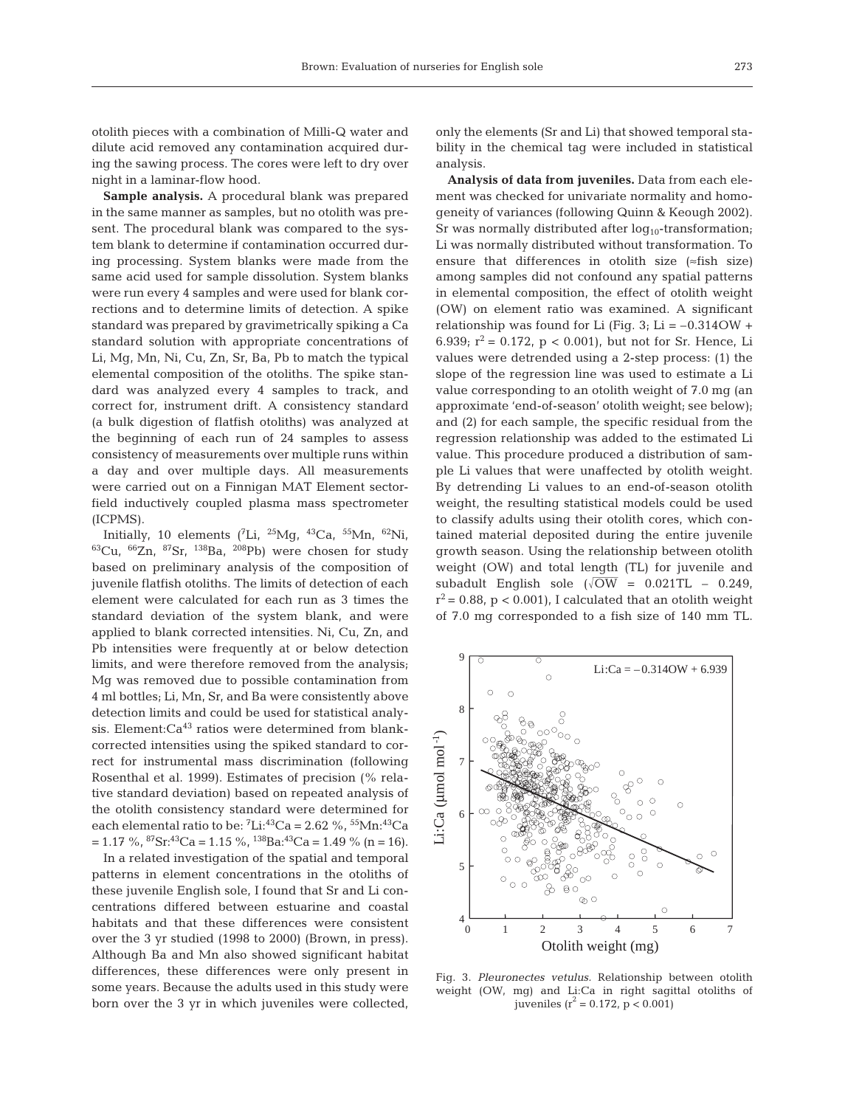otolith pieces with a combination of Milli-Q water and dilute acid removed any contamination acquired during the sawing process. The cores were left to dry over night in a laminar-flow hood.

**Sample analysis.** A procedural blank was prepared in the same manner as samples, but no otolith was present. The procedural blank was compared to the system blank to determine if contamination occurred during processing. System blanks were made from the same acid used for sample dissolution. System blanks were run every 4 samples and were used for blank corrections and to determine limits of detection. A spike standard was prepared by gravimetrically spiking a Ca standard solution with appropriate concentrations of Li, Mg, Mn, Ni, Cu, Zn, Sr, Ba, Pb to match the typical elemental composition of the otoliths. The spike standard was analyzed every 4 samples to track, and correct for, instrument drift. A consistency standard (a bulk digestion of flatfish otoliths) was analyzed at the beginning of each run of 24 samples to assess consistency of measurements over multiple runs within a day and over multiple days. All measurements were carried out on a Finnigan MAT Element sectorfield inductively coupled plasma mass spectrometer (ICPMS).

Initially, 10 elements ( ${}^{7}$ Li,  ${}^{25}$ Mg,  ${}^{43}$ Ca,  ${}^{55}$ Mn,  ${}^{62}$ Ni,  ${}^{63}Cu$ ,  ${}^{66}Zn$ ,  ${}^{87}Sr$ ,  ${}^{138}Ba$ ,  ${}^{208}Pb$ ) were chosen for study based on preliminary analysis of the composition of juvenile flatfish otoliths. The limits of detection of each element were calculated for each run as 3 times the standard deviation of the system blank, and were applied to blank corrected intensities. Ni, Cu, Zn, and Pb intensities were frequently at or below detection limits, and were therefore removed from the analysis; Mg was removed due to possible contamination from 4 ml bottles; Li, Mn, Sr, and Ba were consistently above detection limits and could be used for statistical analysis. Element: $Ca^{43}$  ratios were determined from blankcorrected intensities using the spiked standard to correct for instrumental mass discrimination (following Rosenthal et al. 1999). Estimates of precision (% relative standard deviation) based on repeated analysis of the otolith consistency standard were determined for each elemental ratio to be:  ${}^{7}$ Li:<sup>43</sup>Ca = 2.62 %, <sup>55</sup>Mn:<sup>43</sup>Ca  $= 1.17 \text{ %}, \, {}^{87}\text{Sr}: {}^{43}\text{Ca} = 1.15 \text{ %}, \, {}^{138}\text{Ba}: {}^{43}\text{Ca} = 1.49 \text{ %}$  (n = 16).

In a related investigation of the spatial and temporal patterns in element concentrations in the otoliths of these juvenile English sole, I found that Sr and Li concentrations differed between estuarine and coastal habitats and that these differences were consistent over the 3 yr studied (1998 to 2000) (Brown, in press). Although Ba and Mn also showed significant habitat differences, these differences were only present in some years. Because the adults used in this study were born over the 3 yr in which juveniles were collected,

only the elements (Sr and Li) that showed temporal stability in the chemical tag were included in statistical analysis.

**Analysis of data from juveniles.** Data from each element was checked for univariate normality and homogeneity of variances (following Quinn & Keough 2002). Sr was normally distributed after  $log_{10}$ -transformation; Li was normally distributed without transformation. To ensure that differences in otolith size (≈fish size) among samples did not confound any spatial patterns in elemental composition, the effect of otolith weight (OW) on element ratio was examined. A significant relationship was found for Li (Fig. 3; Li =  $-0.314$ OW + 6.939;  $r^2 = 0.172$ ,  $p < 0.001$ ), but not for Sr. Hence, Li values were detrended using a 2-step process: (1) the slope of the regression line was used to estimate a Li value corresponding to an otolith weight of 7.0 mg (an approximate 'end-of-season' otolith weight; see below); and (2) for each sample, the specific residual from the regression relationship was added to the estimated Li value. This procedure produced a distribution of sample Li values that were unaffected by otolith weight. By detrending Li values to an end-of-season otolith weight, the resulting statistical models could be used to classify adults using their otolith cores, which contained material deposited during the entire juvenile growth season. Using the relationship between otolith weight (OW) and total length (TL) for juvenile and subadult English sole  $(\sqrt{OW} = 0.021TL - 0.249)$ ,  $r^2$  = 0.88, p < 0.001), I calculated that an otolith weight of 7.0 mg corresponded to a fish size of 140 mm TL.



Fig. 3. *Pleuronectes vetulus.* Relationship between otolith weight (OW, mg) and Li:Ca in right sagittal otoliths of juveniles ( $r^2 = 0.172$ ,  $p < 0.001$ )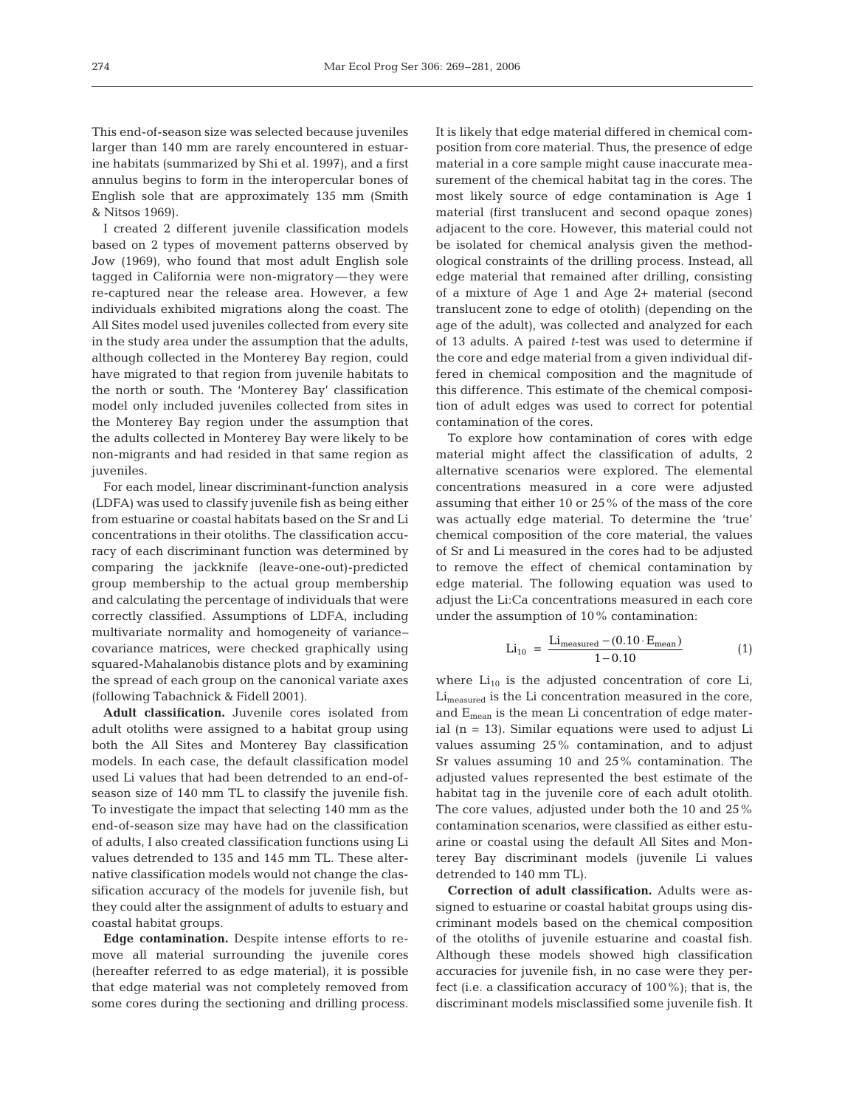This end-of-season size was selected because juveniles larger than 140 mm are rarely encountered in estuarine habitats (summarized by Shi et al. 1997), and a first annulus begins to form in the interopercular bones of English sole that are approximately 135 mm (Smith & Nitsos 1969).

I created 2 different juvenile classification models based on 2 types of movement patterns observed by Jow (1969), who found that most adult English sole tagged in California were non-migratory—they were re-captured near the release area. However, a few individuals exhibited migrations along the coast. The All Sites model used juveniles collected from every site in the study area under the assumption that the adults, although collected in the Monterey Bay region, could have migrated to that region from juvenile habitats to the north or south. The 'Monterey Bay' classification model only included juveniles collected from sites in the Monterey Bay region under the assumption that the adults collected in Monterey Bay were likely to be non-migrants and had resided in that same region as juveniles.

For each model, linear discriminant-function analysis (LDFA) was used to classify juvenile fish as being either from estuarine or coastal habitats based on the Sr and Li concentrations in their otoliths. The classification accuracy of each discriminant function was determined by comparing the jackknife (leave-one-out)-predicted group membership to the actual group membership and calculating the percentage of individuals that were correctly classified. Assumptions of LDFA, including multivariate normality and homogeneity of variance– covariance matrices, were checked graphically using squared-Mahalanobis distance plots and by examining the spread of each group on the canonical variate axes (following Tabachnick & Fidell 2001).

**Adult classification.** Juvenile cores isolated from adult otoliths were assigned to a habitat group using both the All Sites and Monterey Bay classification models. In each case, the default classification model used Li values that had been detrended to an end-ofseason size of 140 mm TL to classify the juvenile fish. To investigate the impact that selecting 140 mm as the end-of-season size may have had on the classification of adults, I also created classification functions using Li values detrended to 135 and 145 mm TL. These alternative classification models would not change the classification accuracy of the models for juvenile fish, but they could alter the assignment of adults to estuary and coastal habitat groups.

**Edge contamination.** Despite intense efforts to remove all material surrounding the juvenile cores (hereafter referred to as edge material), it is possible that edge material was not completely removed from some cores during the sectioning and drilling process.

It is likely that edge material differed in chemical composition from core material. Thus, the presence of edge material in a core sample might cause inaccurate measurement of the chemical habitat tag in the cores. The most likely source of edge contamination is Age 1 material (first translucent and second opaque zones) adjacent to the core. However, this material could not be isolated for chemical analysis given the methodological constraints of the drilling process. Instead, all edge material that remained after drilling, consisting of a mixture of Age 1 and Age 2+ material (second translucent zone to edge of otolith) (depending on the age of the adult), was collected and analyzed for each of 13 adults. A paired *t*-test was used to determine if the core and edge material from a given individual differed in chemical composition and the magnitude of this difference. This estimate of the chemical composition of adult edges was used to correct for potential contamination of the cores.

To explore how contamination of cores with edge material might affect the classification of adults, 2 alternative scenarios were explored. The elemental concentrations measured in a core were adjusted assuming that either 10 or 25% of the mass of the core was actually edge material. To determine the 'true' chemical composition of the core material, the values of Sr and Li measured in the cores had to be adjusted to remove the effect of chemical contamination by edge material. The following equation was used to adjust the Li:Ca concentrations measured in each core under the assumption of 10% contamination:

$$
\text{Li}_{10} = \frac{\text{Li}_{\text{measured}} - (0.10 \cdot \text{E}_{\text{mean}})}{1 - 0.10} \tag{1}
$$

where  $Li_{10}$  is the adjusted concentration of core Li,  $Li<sub>measured</sub>$  is the Li concentration measured in the core, and  $E_{mean}$  is the mean Li concentration of edge material (n = 13). Similar equations were used to adjust Li values assuming 25% contamination, and to adjust Sr values assuming 10 and 25% contamination. The adjusted values represented the best estimate of the habitat tag in the juvenile core of each adult otolith. The core values, adjusted under both the 10 and 25% contamination scenarios, were classified as either estuarine or coastal using the default All Sites and Monterey Bay discriminant models (juvenile Li values detrended to 140 mm TL).

**Correction of adult classification.** Adults were assigned to estuarine or coastal habitat groups using discriminant models based on the chemical composition of the otoliths of juvenile estuarine and coastal fish. Although these models showed high classification accuracies for juvenile fish, in no case were they perfect (i.e. a classification accuracy of 100%); that is, the discriminant models misclassified some juvenile fish. It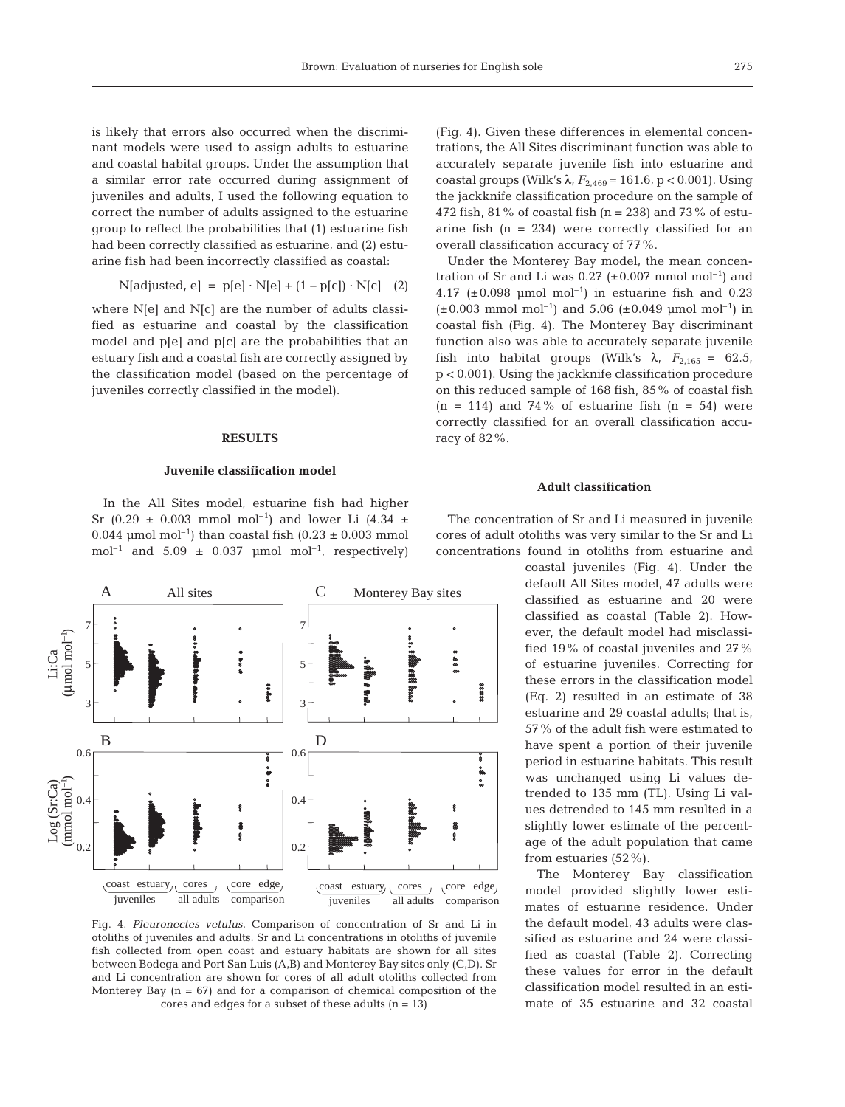is likely that errors also occurred when the discriminant models were used to assign adults to estuarine and coastal habitat groups. Under the assumption that a similar error rate occurred during assignment of juveniles and adults, I used the following equation to correct the number of adults assigned to the estuarine group to reflect the probabilities that (1) estuarine fish had been correctly classified as estuarine, and (2) estuarine fish had been incorrectly classified as coastal:

$$
N[adjusted, e] = p[e] \cdot N[e] + (1 - p[c]) \cdot N[c]
$$
 (2)

where N[e] and N[c] are the number of adults classified as estuarine and coastal by the classification model and p[e] and p[c] are the probabilities that an estuary fish and a coastal fish are correctly assigned by the classification model (based on the percentage of juveniles correctly classified in the model).

## **RESULTS**

#### **Juvenile classification model**

In the All Sites model, estuarine fish had higher Sr (0.29  $\pm$  0.003 mmol mol<sup>-1</sup>) and lower Li (4.34  $\pm$ 0.044 µmol mol<sup>-1</sup>) than coastal fish  $(0.23 \pm 0.003$  mmol mol<sup>-1</sup> and 5.09  $\pm$  0.037 µmol mol<sup>-1</sup>, respectively)



Fig. 4. *Pleuronectes vetulus.* Comparison of concentration of Sr and Li in otoliths of juveniles and adults. Sr and Li concentrations in otoliths of juvenile fish collected from open coast and estuary habitats are shown for all sites between Bodega and Port San Luis (A,B) and Monterey Bay sites only (C,D). Sr and Li concentration are shown for cores of all adult otoliths collected from Monterey Bay  $(n = 67)$  and for a comparison of chemical composition of the cores and edges for a subset of these adults  $(n = 13)$ 

(Fig. 4). Given these differences in elemental concentrations, the All Sites discriminant function was able to accurately separate juvenile fish into estuarine and coastal groups (Wilk's  $\lambda$ ,  $F_{2.469} = 161.6$ , p < 0.001). Using the jackknife classification procedure on the sample of 472 fish, 81% of coastal fish  $(n = 238)$  and 73% of estuarine fish  $(n = 234)$  were correctly classified for an overall classification accuracy of 77%.

Under the Monterey Bay model, the mean concentration of Sr and Li was  $0.27$  ( $\pm 0.007$  mmol mol<sup>-1</sup>) and 4.17 ( $\pm$ 0.098 µmol mol<sup>-1</sup>) in estuarine fish and 0.23  $(\pm 0.003 \text{ mmol mol}^{-1})$  and 5.06  $(\pm 0.049 \text{ mmol mol}^{-1})$  in coastal fish (Fig. 4). The Monterey Bay discriminant function also was able to accurately separate juvenile fish into habitat groups (Wilk's  $\lambda$ ,  $F_{2.165} = 62.5$ , p < 0.001). Using the jackknife classification procedure on this reduced sample of 168 fish, 85% of coastal fish  $(n = 114)$  and 74% of estuarine fish  $(n = 54)$  were correctly classified for an overall classification accuracy of 82%.

#### **Adult classification**

The concentration of Sr and Li measured in juvenile cores of adult otoliths was very similar to the Sr and Li concentrations found in otoliths from estuarine and

> coastal juveniles (Fig. 4). Under the default All Sites model, 47 adults were classified as estuarine and 20 were classified as coastal (Table 2). However, the default model had misclassified 19% of coastal juveniles and 27% of estuarine juveniles. Correcting for these errors in the classification model (Eq. 2) resulted in an estimate of 38 estuarine and 29 coastal adults; that is, 57% of the adult fish were estimated to have spent a portion of their juvenile period in estuarine habitats. This result was unchanged using Li values detrended to 135 mm (TL). Using Li values detrended to 145 mm resulted in a slightly lower estimate of the percentage of the adult population that came from estuaries (52%).

> The Monterey Bay classification model provided slightly lower estimates of estuarine residence. Under the default model, 43 adults were classified as estuarine and 24 were classified as coastal (Table 2). Correcting these values for error in the default classification model resulted in an estimate of 35 estuarine and 32 coastal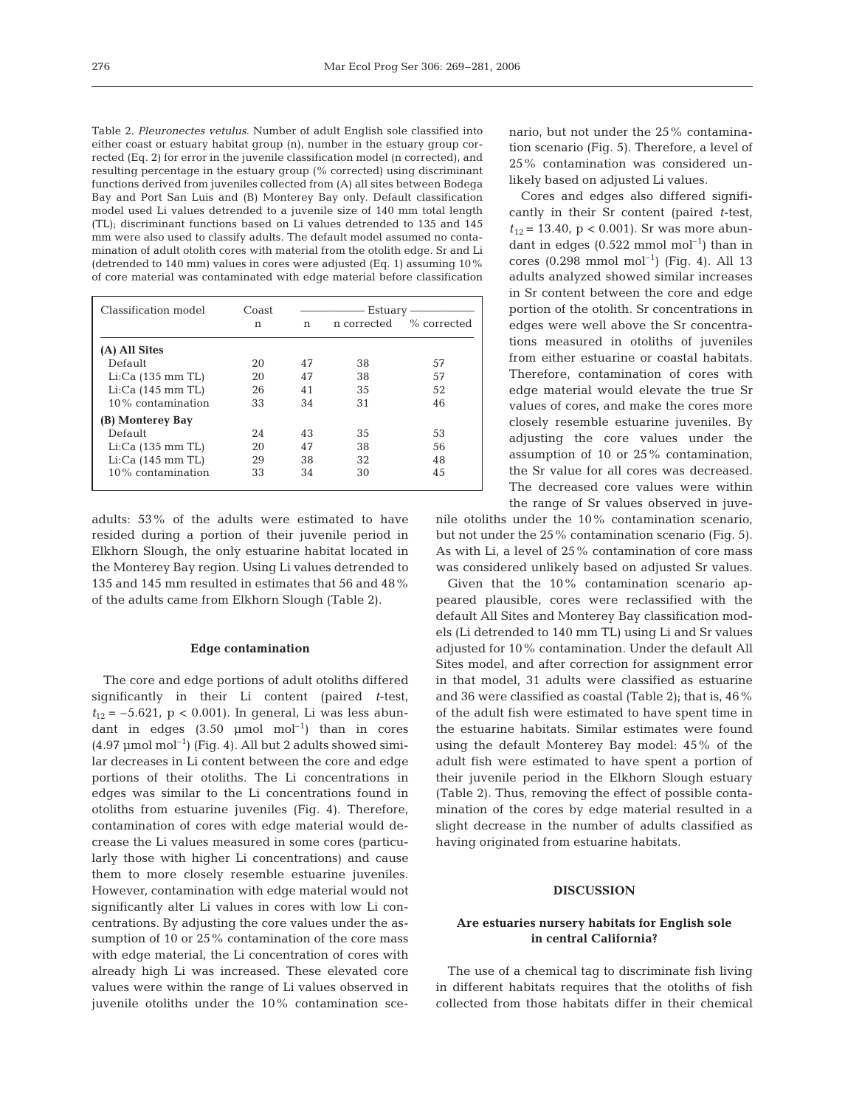Table 2. *Pleuronectes vetulus.* Number of adult English sole classified into either coast or estuary habitat group (n), number in the estuary group corrected (Eq. 2) for error in the juvenile classification model (n corrected), and resulting percentage in the estuary group (% corrected) using discriminant functions derived from juveniles collected from (A) all sites between Bodega Bay and Port San Luis and (B) Monterey Bay only. Default classification model used Li values detrended to a juvenile size of 140 mm total length (TL); discriminant functions based on Li values detrended to 135 and 145 mm were also used to classify adults. The default model assumed no contamination of adult otolith cores with material from the otolith edge. Sr and Li (detrended to 140 mm) values in cores were adjusted (Eq. 1) assuming 10% of core material was contaminated with edge material before classification

| Classification model     | Coast | Estuary |             |             |
|--------------------------|-------|---------|-------------|-------------|
|                          | n     | n       | n corrected | % corrected |
| (A) All Sites            |       |         |             |             |
| Default                  | 20    | 47      | 38          | 57          |
| $Li:Ca$ (135 mm TL)      | 20    | 47      | 38          | 57          |
| $Li:Ca(145 \, mm \, TL)$ | 26    | 41      | 35          | 52          |
| $10\%$ contamination     | 33    | 34      | 31          | 46          |
| (B) Monterey Bay         |       |         |             |             |
| Default                  | 2.4   | 43      | 35          | 53          |
| $Li:Ca$ (135 mm TL)      | 20    | 47      | 38          | 56          |
| $Li:Ca(145 \, mm \, TL)$ | 29    | 38      | 32          | 48          |
| $10\%$ contamination     | 33    | 34      | 30          | 45          |

adults: 53% of the adults were estimated to have resided during a portion of their juvenile period in Elkhorn Slough, the only estuarine habitat located in the Monterey Bay region. Using Li values detrended to 135 and 145 mm resulted in estimates that 56 and 48% of the adults came from Elkhorn Slough (Table 2).

#### **Edge contamination**

The core and edge portions of adult otoliths differed significantly in their Li content (paired *t*-test,  $t_{12} = -5.621$ , p < 0.001). In general, Li was less abundant in edges  $(3.50 \text{µmol mol}^{-1})$  than in cores  $(4.97 \text{ µmol mol}^{-1})$  (Fig. 4). All but 2 adults showed similar decreases in Li content between the core and edge portions of their otoliths. The Li concentrations in edges was similar to the Li concentrations found in otoliths from estuarine juveniles (Fig. 4). Therefore, contamination of cores with edge material would decrease the Li values measured in some cores (particularly those with higher Li concentrations) and cause them to more closely resemble estuarine juveniles. However, contamination with edge material would not significantly alter Li values in cores with low Li concentrations. By adjusting the core values under the assumption of 10 or 25% contamination of the core mass with edge material, the Li concentration of cores with already high Li was increased. These elevated core values were within the range of Li values observed in juvenile otoliths under the 10% contamination scenario, but not under the 25% contamination scenario (Fig. 5). Therefore, a level of 25% contamination was considered unlikely based on adjusted Li values.

Cores and edges also differed significantly in their Sr content (paired *t*-test,  $t_{12}$  = 13.40, p < 0.001). Sr was more abundant in edges  $(0.522 \text{ mmol mol}^{-1})$  than in cores  $(0.298 \text{ mmol mol}^{-1})$  (Fig. 4). All 13 adults analyzed showed similar increases in Sr content between the core and edge portion of the otolith. Sr concentrations in edges were well above the Sr concentrations measured in otoliths of juveniles from either estuarine or coastal habitats. Therefore, contamination of cores with edge material would elevate the true Sr values of cores, and make the cores more closely resemble estuarine juveniles. By adjusting the core values under the assumption of 10 or 25% contamination, the Sr value for all cores was decreased. The decreased core values were within the range of Sr values observed in juve-

nile otoliths under the 10% contamination scenario, but not under the 25% contamination scenario (Fig. 5). As with Li, a level of 25% contamination of core mass was considered unlikely based on adjusted Sr values.

Given that the 10% contamination scenario appeared plausible, cores were reclassified with the default All Sites and Monterey Bay classification models (Li detrended to 140 mm TL) using Li and Sr values adjusted for 10% contamination. Under the default All Sites model, and after correction for assignment error in that model, 31 adults were classified as estuarine and 36 were classified as coastal (Table 2); that is, 46% of the adult fish were estimated to have spent time in the estuarine habitats. Similar estimates were found using the default Monterey Bay model: 45% of the adult fish were estimated to have spent a portion of their juvenile period in the Elkhorn Slough estuary (Table 2). Thus, removing the effect of possible contamination of the cores by edge material resulted in a slight decrease in the number of adults classified as having originated from estuarine habitats.

## **DISCUSSION**

# **Are estuaries nursery habitats for English sole in central California?**

The use of a chemical tag to discriminate fish living in different habitats requires that the otoliths of fish collected from those habitats differ in their chemical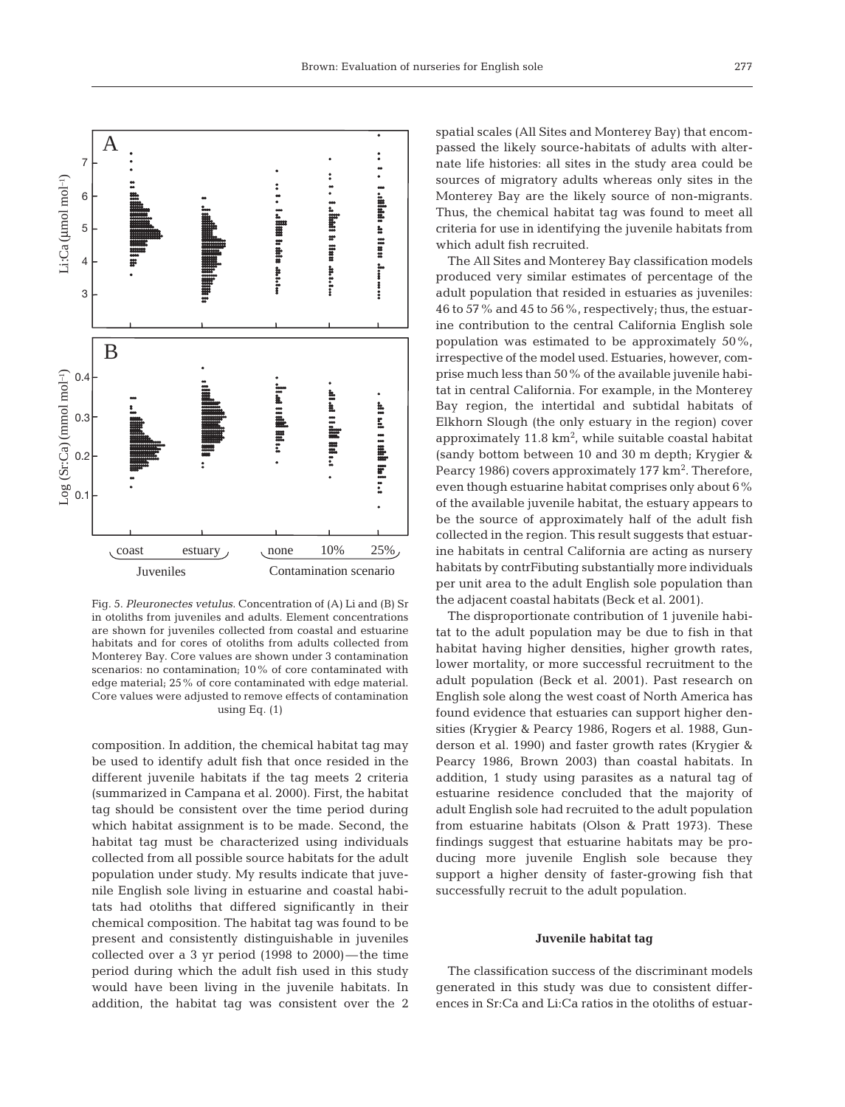

Fig. 5. *Pleuronectes vetulus*. Concentration of (A) Li and (B) Sr in otoliths from juveniles and adults. Element concentrations are shown for juveniles collected from coastal and estuarine habitats and for cores of otoliths from adults collected from Monterey Bay. Core values are shown under 3 contamination scenarios: no contamination; 10% of core contaminated with edge material; 25% of core contaminated with edge material. Core values were adjusted to remove effects of contamination using Eq. (1)

composition. In addition, the chemical habitat tag may be used to identify adult fish that once resided in the different juvenile habitats if the tag meets 2 criteria (summarized in Campana et al. 2000). First, the habitat tag should be consistent over the time period during which habitat assignment is to be made. Second, the habitat tag must be characterized using individuals collected from all possible source habitats for the adult population under study. My results indicate that juvenile English sole living in estuarine and coastal habitats had otoliths that differed significantly in their chemical composition. The habitat tag was found to be present and consistently distinguishable in juveniles collected over a 3 yr period (1998 to 2000)—the time period during which the adult fish used in this study would have been living in the juvenile habitats. In addition, the habitat tag was consistent over the 2

spatial scales (All Sites and Monterey Bay) that encompassed the likely source-habitats of adults with alternate life histories: all sites in the study area could be sources of migratory adults whereas only sites in the Monterey Bay are the likely source of non-migrants. Thus, the chemical habitat tag was found to meet all criteria for use in identifying the juvenile habitats from which adult fish recruited.

The All Sites and Monterey Bay classification models produced very similar estimates of percentage of the adult population that resided in estuaries as juveniles: 46 to 57% and 45 to 56%, respectively; thus, the estuarine contribution to the central California English sole population was estimated to be approximately 50%, irrespective of the model used. Estuaries, however, comprise much less than 50% of the available juvenile habitat in central California. For example, in the Monterey Bay region, the intertidal and subtidal habitats of Elkhorn Slough (the only estuary in the region) cover approximately  $11.8 \text{ km}^2$ , while suitable coastal habitat (sandy bottom between 10 and 30 m depth; Krygier & Pearcy 1986) covers approximately 177 km<sup>2</sup>. Therefore, even though estuarine habitat comprises only about 6% of the available juvenile habitat, the estuary appears to be the source of approximately half of the adult fish collected in the region. This result suggests that estuarine habitats in central California are acting as nursery habitats by contrFibuting substantially more individuals per unit area to the adult English sole population than the adjacent coastal habitats (Beck et al. 2001).

The disproportionate contribution of 1 juvenile habitat to the adult population may be due to fish in that habitat having higher densities, higher growth rates, lower mortality, or more successful recruitment to the adult population (Beck et al. 2001). Past research on English sole along the west coast of North America has found evidence that estuaries can support higher densities (Krygier & Pearcy 1986, Rogers et al. 1988, Gunderson et al. 1990) and faster growth rates (Krygier & Pearcy 1986, Brown 2003) than coastal habitats. In addition, 1 study using parasites as a natural tag of estuarine residence concluded that the majority of adult English sole had recruited to the adult population from estuarine habitats (Olson & Pratt 1973). These findings suggest that estuarine habitats may be producing more juvenile English sole because they support a higher density of faster-growing fish that successfully recruit to the adult population.

#### **Juvenile habitat tag**

The classification success of the discriminant models generated in this study was due to consistent differences in Sr:Ca and Li:Ca ratios in the otoliths of estuar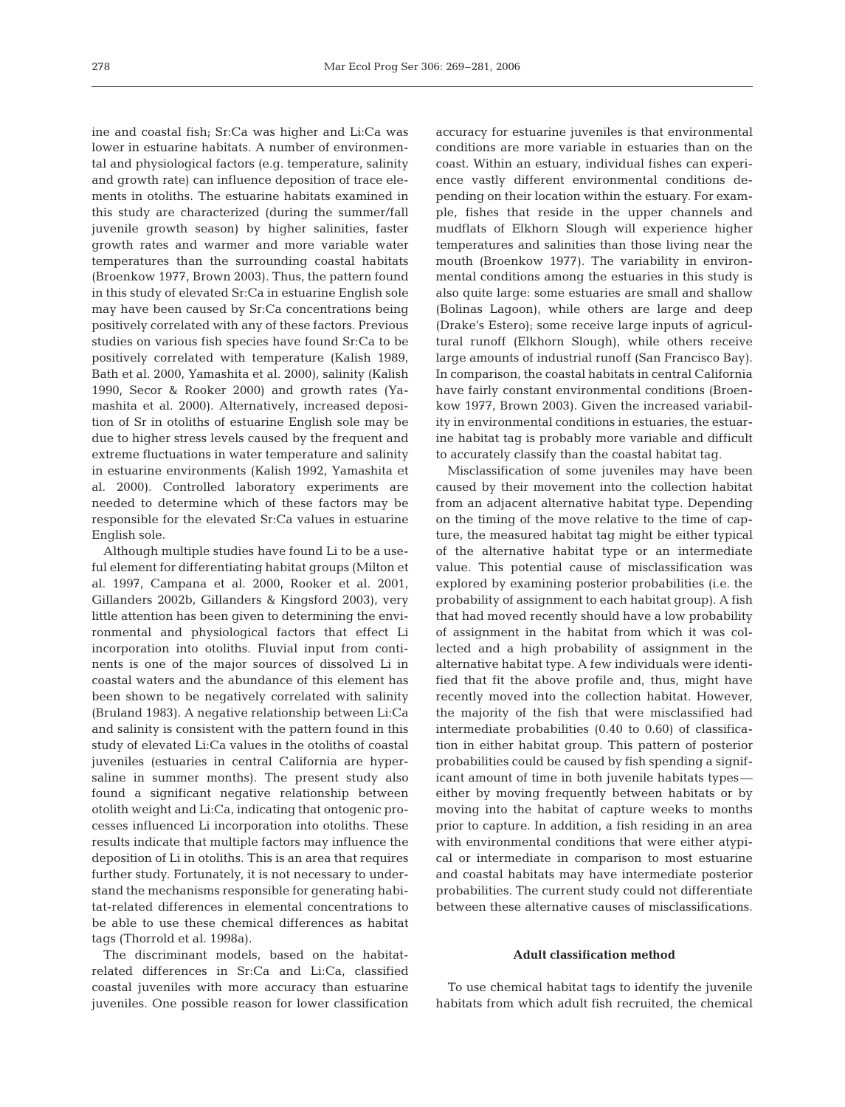ine and coastal fish; Sr:Ca was higher and Li:Ca was lower in estuarine habitats. A number of environmental and physiological factors (e.g. temperature, salinity and growth rate) can influence deposition of trace elements in otoliths. The estuarine habitats examined in this study are characterized (during the summer/fall juvenile growth season) by higher salinities, faster growth rates and warmer and more variable water temperatures than the surrounding coastal habitats (Broenkow 1977, Brown 2003). Thus, the pattern found in this study of elevated Sr:Ca in estuarine English sole may have been caused by Sr:Ca concentrations being positively correlated with any of these factors. Previous studies on various fish species have found Sr:Ca to be positively correlated with temperature (Kalish 1989, Bath et al. 2000, Yamashita et al. 2000), salinity (Kalish 1990, Secor & Rooker 2000) and growth rates (Yamashita et al. 2000). Alternatively, increased deposition of Sr in otoliths of estuarine English sole may be due to higher stress levels caused by the frequent and extreme fluctuations in water temperature and salinity in estuarine environments (Kalish 1992, Yamashita et al. 2000). Controlled laboratory experiments are needed to determine which of these factors may be responsible for the elevated Sr:Ca values in estuarine English sole.

Although multiple studies have found Li to be a useful element for differentiating habitat groups (Milton et al. 1997, Campana et al. 2000, Rooker et al. 2001, Gillanders 2002b, Gillanders & Kingsford 2003), very little attention has been given to determining the environmental and physiological factors that effect Li incorporation into otoliths. Fluvial input from continents is one of the major sources of dissolved Li in coastal waters and the abundance of this element has been shown to be negatively correlated with salinity (Bruland 1983). A negative relationship between Li:Ca and salinity is consistent with the pattern found in this study of elevated Li:Ca values in the otoliths of coastal juveniles (estuaries in central California are hypersaline in summer months). The present study also found a significant negative relationship between otolith weight and Li:Ca, indicating that ontogenic processes influenced Li incorporation into otoliths. These results indicate that multiple factors may influence the deposition of Li in otoliths. This is an area that requires further study. Fortunately, it is not necessary to understand the mechanisms responsible for generating habitat-related differences in elemental concentrations to be able to use these chemical differences as habitat tags (Thorrold et al. 1998a).

The discriminant models, based on the habitatrelated differences in Sr:Ca and Li:Ca, classified coastal juveniles with more accuracy than estuarine juveniles. One possible reason for lower classification accuracy for estuarine juveniles is that environmental conditions are more variable in estuaries than on the coast. Within an estuary, individual fishes can experience vastly different environmental conditions depending on their location within the estuary. For example, fishes that reside in the upper channels and mudflats of Elkhorn Slough will experience higher temperatures and salinities than those living near the mouth (Broenkow 1977). The variability in environmental conditions among the estuaries in this study is also quite large: some estuaries are small and shallow (Bolinas Lagoon), while others are large and deep (Drake's Estero); some receive large inputs of agricultural runoff (Elkhorn Slough), while others receive large amounts of industrial runoff (San Francisco Bay). In comparison, the coastal habitats in central California have fairly constant environmental conditions (Broenkow 1977, Brown 2003). Given the increased variability in environmental conditions in estuaries, the estuarine habitat tag is probably more variable and difficult to accurately classify than the coastal habitat tag.

Misclassification of some juveniles may have been caused by their movement into the collection habitat from an adjacent alternative habitat type. Depending on the timing of the move relative to the time of capture, the measured habitat tag might be either typical of the alternative habitat type or an intermediate value. This potential cause of misclassification was explored by examining posterior probabilities (i.e. the probability of assignment to each habitat group). A fish that had moved recently should have a low probability of assignment in the habitat from which it was collected and a high probability of assignment in the alternative habitat type. A few individuals were identified that fit the above profile and, thus, might have recently moved into the collection habitat. However, the majority of the fish that were misclassified had intermediate probabilities (0.40 to 0.60) of classification in either habitat group. This pattern of posterior probabilities could be caused by fish spending a significant amount of time in both juvenile habitats types either by moving frequently between habitats or by moving into the habitat of capture weeks to months prior to capture. In addition, a fish residing in an area with environmental conditions that were either atypical or intermediate in comparison to most estuarine and coastal habitats may have intermediate posterior probabilities. The current study could not differentiate between these alternative causes of misclassifications.

### **Adult classification method**

To use chemical habitat tags to identify the juvenile habitats from which adult fish recruited, the chemical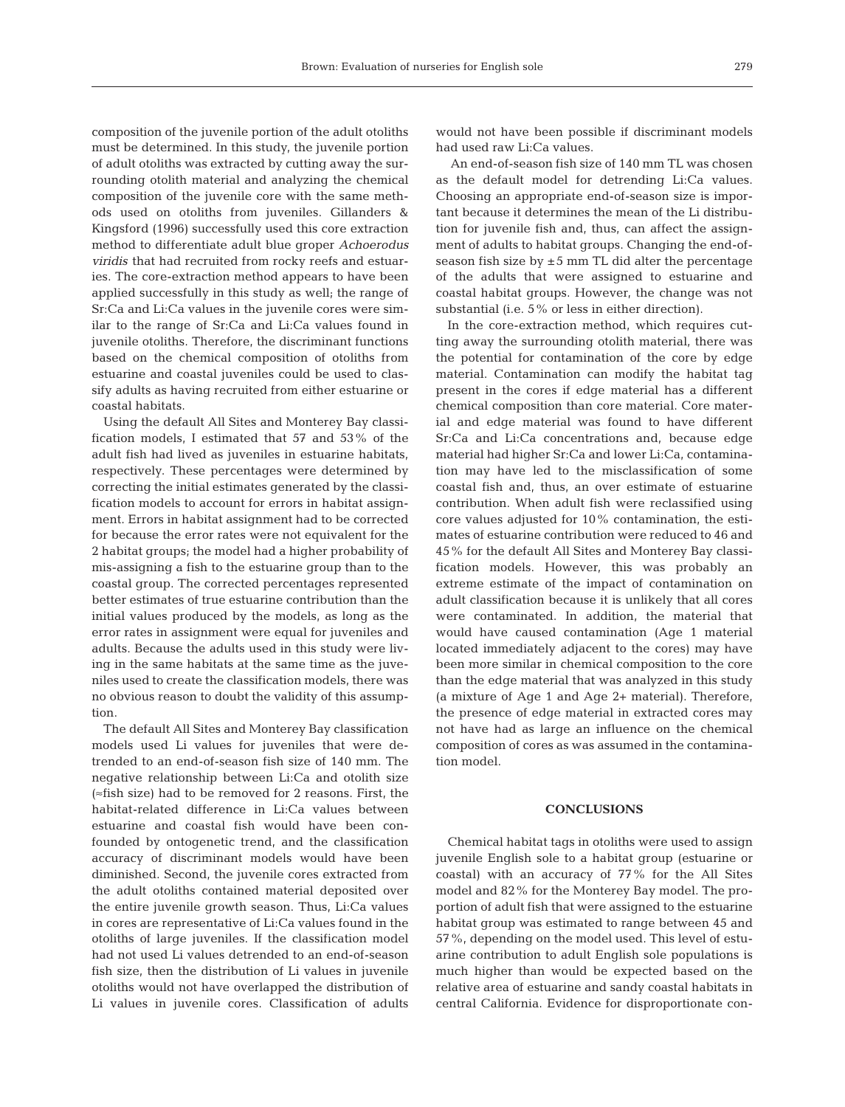composition of the juvenile portion of the adult otoliths must be determined. In this study, the juvenile portion of adult otoliths was extracted by cutting away the surrounding otolith material and analyzing the chemical composition of the juvenile core with the same methods used on otoliths from juveniles. Gillanders & Kingsford (1996) successfully used this core extraction method to differentiate adult blue groper *Achoerodus viridis* that had recruited from rocky reefs and estuaries. The core-extraction method appears to have been applied successfully in this study as well; the range of Sr:Ca and Li:Ca values in the juvenile cores were similar to the range of Sr:Ca and Li:Ca values found in juvenile otoliths. Therefore, the discriminant functions based on the chemical composition of otoliths from estuarine and coastal juveniles could be used to classify adults as having recruited from either estuarine or coastal habitats.

Using the default All Sites and Monterey Bay classification models, I estimated that 57 and 53% of the adult fish had lived as juveniles in estuarine habitats, respectively. These percentages were determined by correcting the initial estimates generated by the classification models to account for errors in habitat assignment. Errors in habitat assignment had to be corrected for because the error rates were not equivalent for the 2 habitat groups; the model had a higher probability of mis-assigning a fish to the estuarine group than to the coastal group. The corrected percentages represented better estimates of true estuarine contribution than the initial values produced by the models, as long as the error rates in assignment were equal for juveniles and adults. Because the adults used in this study were living in the same habitats at the same time as the juveniles used to create the classification models, there was no obvious reason to doubt the validity of this assumption.

The default All Sites and Monterey Bay classification models used Li values for juveniles that were detrended to an end-of-season fish size of 140 mm. The negative relationship between Li:Ca and otolith size (≈fish size) had to be removed for 2 reasons. First, the habitat-related difference in Li:Ca values between estuarine and coastal fish would have been confounded by ontogenetic trend, and the classification accuracy of discriminant models would have been diminished. Second, the juvenile cores extracted from the adult otoliths contained material deposited over the entire juvenile growth season. Thus, Li:Ca values in cores are representative of Li:Ca values found in the otoliths of large juveniles. If the classification model had not used Li values detrended to an end-of-season fish size, then the distribution of Li values in juvenile otoliths would not have overlapped the distribution of Li values in juvenile cores. Classification of adults

would not have been possible if discriminant models had used raw Li:Ca values.

An end-of-season fish size of 140 mm TL was chosen as the default model for detrending Li:Ca values. Choosing an appropriate end-of-season size is important because it determines the mean of the Li distribution for juvenile fish and, thus, can affect the assignment of adults to habitat groups. Changing the end-ofseason fish size by  $\pm 5$  mm TL did alter the percentage of the adults that were assigned to estuarine and coastal habitat groups. However, the change was not substantial (i.e. 5% or less in either direction).

In the core-extraction method, which requires cutting away the surrounding otolith material, there was the potential for contamination of the core by edge material. Contamination can modify the habitat tag present in the cores if edge material has a different chemical composition than core material. Core material and edge material was found to have different Sr:Ca and Li:Ca concentrations and, because edge material had higher Sr:Ca and lower Li:Ca, contamination may have led to the misclassification of some coastal fish and, thus, an over estimate of estuarine contribution. When adult fish were reclassified using core values adjusted for 10% contamination, the estimates of estuarine contribution were reduced to 46 and 45% for the default All Sites and Monterey Bay classification models. However, this was probably an extreme estimate of the impact of contamination on adult classification because it is unlikely that all cores were contaminated. In addition, the material that would have caused contamination (Age 1 material located immediately adjacent to the cores) may have been more similar in chemical composition to the core than the edge material that was analyzed in this study (a mixture of Age 1 and Age 2+ material). Therefore, the presence of edge material in extracted cores may not have had as large an influence on the chemical composition of cores as was assumed in the contamination model.

## **CONCLUSIONS**

Chemical habitat tags in otoliths were used to assign juvenile English sole to a habitat group (estuarine or coastal) with an accuracy of 77% for the All Sites model and 82% for the Monterey Bay model. The proportion of adult fish that were assigned to the estuarine habitat group was estimated to range between 45 and 57%, depending on the model used. This level of estuarine contribution to adult English sole populations is much higher than would be expected based on the relative area of estuarine and sandy coastal habitats in central California. Evidence for disproportionate con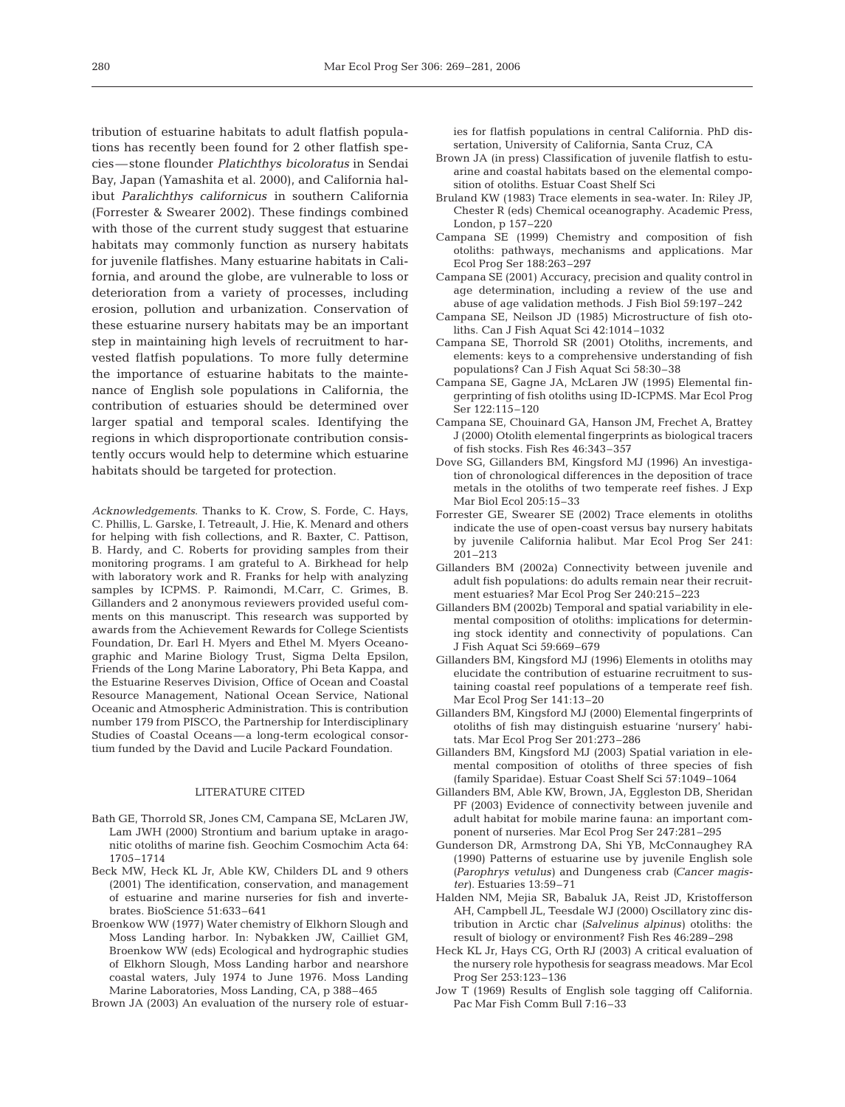tribution of estuarine habitats to adult flatfish populations has recently been found for 2 other flatfish species—stone flounder *Platichthys bicoloratus* in Sendai Bay, Japan (Yamashita et al. 2000), and California halibut *Paralichthys californicus* in southern California (Forrester & Swearer 2002). These findings combined with those of the current study suggest that estuarine habitats may commonly function as nursery habitats for juvenile flatfishes. Many estuarine habitats in California, and around the globe, are vulnerable to loss or deterioration from a variety of processes, including erosion, pollution and urbanization. Conservation of these estuarine nursery habitats may be an important step in maintaining high levels of recruitment to harvested flatfish populations. To more fully determine the importance of estuarine habitats to the maintenance of English sole populations in California, the contribution of estuaries should be determined over larger spatial and temporal scales. Identifying the regions in which disproportionate contribution consistently occurs would help to determine which estuarine habitats should be targeted for protection.

*Acknowledgements*. Thanks to K. Crow, S. Forde, C. Hays, C. Phillis, L. Garske, I. Tetreault, J. Hie, K. Menard and others for helping with fish collections, and R. Baxter, C. Pattison, B. Hardy, and C. Roberts for providing samples from their monitoring programs. I am grateful to A. Birkhead for help with laboratory work and R. Franks for help with analyzing samples by ICPMS. P. Raimondi, M.Carr, C. Grimes, B. Gillanders and 2 anonymous reviewers provided useful comments on this manuscript. This research was supported by awards from the Achievement Rewards for College Scientists Foundation, Dr. Earl H. Myers and Ethel M. Myers Oceanographic and Marine Biology Trust, Sigma Delta Epsilon, Friends of the Long Marine Laboratory, Phi Beta Kappa, and the Estuarine Reserves Division, Office of Ocean and Coastal Resource Management, National Ocean Service, National Oceanic and Atmospheric Administration. This is contribution number 179 from PISCO, the Partnership for Interdisciplinary Studies of Coastal Oceans—a long-term ecological consortium funded by the David and Lucile Packard Foundation.

#### LITERATURE CITED

- Bath GE, Thorrold SR, Jones CM, Campana SE, McLaren JW, Lam JWH (2000) Strontium and barium uptake in aragonitic otoliths of marine fish. Geochim Cosmochim Acta 64: 1705–1714
- Beck MW, Heck KL Jr, Able KW, Childers DL and 9 others (2001) The identification, conservation, and management of estuarine and marine nurseries for fish and invertebrates. BioScience 51:633–641
- Broenkow WW (1977) Water chemistry of Elkhorn Slough and Moss Landing harbor. In: Nybakken JW, Cailliet GM, Broenkow WW (eds) Ecological and hydrographic studies of Elkhorn Slough, Moss Landing harbor and nearshore coastal waters, July 1974 to June 1976. Moss Landing Marine Laboratories, Moss Landing, CA, p 388–465

Brown JA (2003) An evaluation of the nursery role of estuar-

ies for flatfish populations in central California. PhD dissertation, University of California, Santa Cruz, CA

- Brown JA (in press) Classification of juvenile flatfish to estuarine and coastal habitats based on the elemental composition of otoliths. Estuar Coast Shelf Sci
- Bruland KW (1983) Trace elements in sea-water. In: Riley JP, Chester R (eds) Chemical oceanography. Academic Press, London, p 157–220
- Campana SE (1999) Chemistry and composition of fish otoliths: pathways, mechanisms and applications. Mar Ecol Prog Ser 188:263–297
- Campana SE (2001) Accuracy, precision and quality control in age determination, including a review of the use and abuse of age validation methods. J Fish Biol 59:197–242
- Campana SE, Neilson JD (1985) Microstructure of fish otoliths. Can J Fish Aquat Sci 42:1014–1032
- Campana SE, Thorrold SR (2001) Otoliths, increments, and elements: keys to a comprehensive understanding of fish populations? Can J Fish Aquat Sci 58:30–38
- Campana SE, Gagne JA, McLaren JW (1995) Elemental fingerprinting of fish otoliths using ID-ICPMS. Mar Ecol Prog Ser 122:115–120
- Campana SE, Chouinard GA, Hanson JM, Frechet A, Brattey J (2000) Otolith elemental fingerprints as biological tracers of fish stocks. Fish Res 46:343–357
- Dove SG, Gillanders BM, Kingsford MJ (1996) An investigation of chronological differences in the deposition of trace metals in the otoliths of two temperate reef fishes. J Exp Mar Biol Ecol 205:15–33
- Forrester GE, Swearer SE (2002) Trace elements in otoliths indicate the use of open-coast versus bay nursery habitats by juvenile California halibut. Mar Ecol Prog Ser 241: 201–213
- Gillanders BM (2002a) Connectivity between juvenile and adult fish populations: do adults remain near their recruitment estuaries? Mar Ecol Prog Ser 240:215–223
- Gillanders BM (2002b) Temporal and spatial variability in elemental composition of otoliths: implications for determining stock identity and connectivity of populations. Can J Fish Aquat Sci 59:669–679
- Gillanders BM, Kingsford MJ (1996) Elements in otoliths may elucidate the contribution of estuarine recruitment to sustaining coastal reef populations of a temperate reef fish. Mar Ecol Prog Ser 141:13–20
- Gillanders BM, Kingsford MJ (2000) Elemental fingerprints of otoliths of fish may distinguish estuarine 'nursery' habitats. Mar Ecol Prog Ser 201:273–286
- Gillanders BM, Kingsford MJ (2003) Spatial variation in elemental composition of otoliths of three species of fish (family Sparidae). Estuar Coast Shelf Sci 57:1049–1064
- Gillanders BM, Able KW, Brown, JA, Eggleston DB, Sheridan PF (2003) Evidence of connectivity between juvenile and adult habitat for mobile marine fauna: an important component of nurseries. Mar Ecol Prog Ser 247:281–295
- Gunderson DR, Armstrong DA, Shi YB, McConnaughey RA (1990) Patterns of estuarine use by juvenile English sole *(Parophrys vetulus)* and Dungeness crab *(Cancer magister)*. Estuaries 13:59–71
- Halden NM, Mejia SR, Babaluk JA, Reist JD, Kristofferson AH, Campbell JL, Teesdale WJ (2000) Oscillatory zinc distribution in Arctic char *(Salvelinus alpinus)* otoliths: the result of biology or environment? Fish Res 46:289–298
- Heck KL Jr, Hays CG, Orth RJ (2003) A critical evaluation of the nursery role hypothesis for seagrass meadows. Mar Ecol Prog Ser 253:123–136
- Jow T (1969) Results of English sole tagging off California. Pac Mar Fish Comm Bull 7:16–33